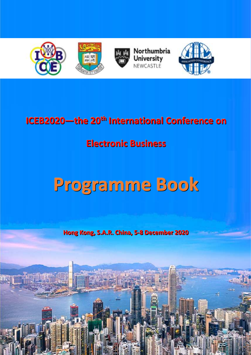

# **ICEB2020**— **the 20<sup>th</sup> International Conference on**

# **Electronic Business**

# **Programme Book**

**Hong Kong,, S..A..R.. Chi ina,, 5--8 December 2020**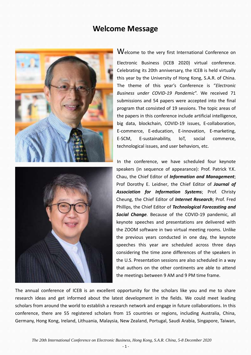### **Welcome Message**





Welcome to the very first International Conference on Electronic Business (ICEB 2020) virtual conference. Celebrating its 20th anniversary, the ICEB is held virtually this year by the University of Hong Kong, S.A.R. of China. The theme of this year's Conference is "*Electronic Business under COVID-19 Pandemic*". We received 71 submissions and 54 papers were accepted into the final program that consisted of 19 sessions. The topic areas of the papers in this conference include artificial intelligence, big data, blockchain, COVID-19 issues, E-collaboration, E-commerce, E-education, E-innovation, E-marketing, E-SCM, E-sustainability, IoT, social commerce, technological issues, and user behaviors, etc.

In the conference, we have scheduled four keynote speakers (in sequence of appearance): Prof. Patrick Y.K. Chau, the Chief Editor of *Information and Management*; Prof Dorothy E. Leidner, the Chief Editor of *Journal of Association for Information Systems*; Prof. Christy Cheung, the Chief Editor of *Internet Research*; Prof. Fred Phillips, the Chief Editor of *Technological Forecasting and Social Change.* Because of the COVID-19 pandemic, all keynote speeches and presentations are delivered with the ZOOM software in two virtual meeting rooms. Unlike the previous years conducted in one day, the keynote speeches this year are scheduled across three days considering the time zone differences of the speakers in the U.S. Presentation sessions are also scheduled in a way that authors on the other continents are able to attend the meetings between 9 AM and 9 PM time frame.

The annual conference of ICEB is an excellent opportunity for the scholars like you and me to share research ideas and get informed about the latest development in the fields. We could meet leading scholars from around the world to establish a research network and engage in future collaborations. In this conference, there are 55 registered scholars from 15 countries or regions, including Australia, China, Germany, Hong Kong, Ireland, Lithuania, Malaysia, New Zealand, Portugal, Saudi Arabia, Singapore, Taiwan,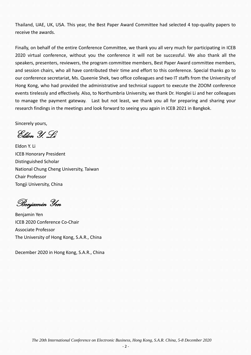Thailand, UAE, UK, USA. This year, the Best Paper Award Committee had selected 4 top-quality papers to receive the awards.

Finally, on behalf of the entire Conference Committee, we thank you all very much for participating in ICEB 2020 virtual conference, without you the conference it will not be successful. We also thank all the speakers, presenters, reviewers, the program committee members, Best Paper Award committee members, and session chairs, who all have contributed their time and effort to this conference. Special thanks go to our conference secretariat, Ms. Queenie Shek, two office colleagues and two IT staffs from the University of Hong Kong, who had provided the administrative and technical support to execute the ZOOM conference events tirelessly and effectively. Also, to Northumbria University, we thank Dr. Honglei Li and her colleagues to manage the payment gateway. Last but not least, we thank you all for preparing and sharing your research findings in the meetings and look forward to seeing you again in ICEB 2021 in Bangkok.

Sincerely yours,

Eldon Y. Li

Eldon Y. Li ICEB Honorary President Distinguished Scholar National Chung Cheng University, Taiwan Chair Professor Tongji University, China

Benjamin Yen

Benjamin Yen ICEB 2020 Conference Co-Chair Associate Professor The University of Hong Kong, S.A.R., China

December 2020 in Hong Kong, S.A.R., China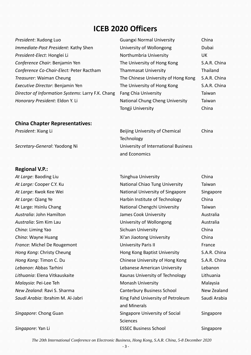### **ICEB 2020 Officers**

| President: Xudong Luo                             | <b>Guangxi Normal University</b>    | China        |
|---------------------------------------------------|-------------------------------------|--------------|
| Immediate-Past President: Kathy Shen              | University of Wollongong            | Dubai        |
| President-Elect: Honglei Li                       | Northumbria University              | UK.          |
| Conference Chair: Benjamin Yen                    | The University of Hong Kong         | S.A.R. China |
| Conference Co-Chair-Elect: Peter Ractham          | <b>Thammasat University</b>         | Thailand     |
| Treasurer: Waiman Cheung                          | The Chinese University of Hong Kong | S.A.R. China |
| Executive Director: Benjamin Yen                  | The University of Hong Kong         | S.A.R. China |
| Director of Information Systems: Larry F.K. Chang | <b>Fang Chia University</b>         | Taiwan       |
| Honorary President: Eldon Y. Li                   | National Chung Cheng University     | Taiwan       |

### **China Chapter Representatives:**

### **Regional V.P.:**

| <b>Guangxi Normal University</b>    | China        |
|-------------------------------------|--------------|
| University of Wollongong            | Dubai        |
| Northumbria University              | UK           |
| The University of Hong Kong         | S.A.R. China |
| <b>Thammasat University</b>         | Thailand     |
| The Chinese University of Hong Kong | S.A.R. China |
| The University of Hong Kong         | S.A.R. China |
| <b>Fang Chia University</b>         | Taiwan       |
| National Chung Cheng University     | Taiwan       |
| Tongji University                   | China        |

China

**President: Xiang Li** Beijing University of Chemical **Technology** *Secretary-General*: Yaodong Ni University of International Business and Economics

At Large: Baoding Liu **Tsinghua University** China At Large: Cooper C.Y. Ku **National Chiao Tung University** Taiwan At Large: Kwok Kee Wei National University of Singapore Singapore *At Large:* Qiang Ye **Harbin Institute of Technology** China At Large: Hsinlu Chang National Chengchi University Taiwan Australia: John Hamilton **James Cook University** Australia *Australia*: Sim Kim Lau **New Australia** University of Wollongong **Australia** *China*: Liming Yao Sichuan University China **China: Wayne Huang The China** Xi'an Jiaotong University China **France: Michel De Rougemont Communisty Paris II France: Michel De Rougemont Communisty Paris II** *Hong Kong*: Christy Cheung **Hong Kong Baptist University** S.A.R. China *Hong Kong*: Timon C. Du Chinese University of Hong Kong S.A.R. China *Lebanon*: Abbas Tarhini Lebanese American University Lebanon *Lithuania*: Elena Vitkauskaite Kaunas University of Technology Lithuania *Malaysia*: Pei-Lee Teh Monash University Malaysia *New Zealand*: Ravi S. Sharma **Canterbury Business School** New Zealand **Saudi Arabia: Ibrahim M. Al-Jabri King Fahd University of Petroleum** and Minerals Saudi Arabia **Singapore: Chong Guan Singapore University of Social Singapore University of Social Sciences** Singapore **Singapore: Yan Li** ESSEC Business School Singapore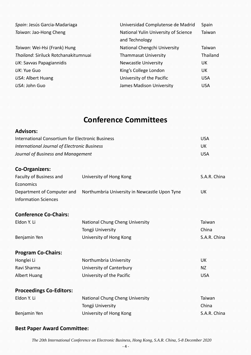| Spain: Jesús Garcia-Madariaga        | Universidad Complutense de Madrid                      | Spain      |
|--------------------------------------|--------------------------------------------------------|------------|
| Taiwan: Jao-Hong Cheng               | National Yulin University of Science<br>and Technology | Taiwan     |
| Taiwan: Wei-Hsi (Frank) Hung         | National Chengchi University                           | Taiwan     |
| Thailand: Siriluck Rotchanakitumnuai | <b>Thammasat University</b>                            | Thailand   |
| UK: Savvas Papagiannidis             | <b>Newcastle University</b>                            | UK.        |
| UK: Yue Guo                          | King's College London                                  | UK         |
| USA: Albert Huang                    | University of the Pacific                              | <b>USA</b> |
| USA: John Guo                        | James Madison University                               | <b>USA</b> |

## **Conference Committees**

| <b>Advisors:</b>                                          |                                               |              |
|-----------------------------------------------------------|-----------------------------------------------|--------------|
| <b>International Consortium for Electronic Business</b>   |                                               | <b>USA</b>   |
| <b>International Journal of Electronic Business</b>       | UK                                            |              |
| Journal of Business and Management                        | <b>USA</b>                                    |              |
| <b>Co-Organizers:</b>                                     |                                               |              |
| Faculty of Business and<br>Economics                      | University of Hong Kong                       | S.A.R. China |
| Department of Computer and<br><b>Information Sciences</b> | Northumbria University in Newcastle Upon Tyne | <b>UK</b>    |
| <b>Conference Co-Chairs:</b>                              |                                               |              |
| Eldon Y. Li                                               | National Chung Cheng University               | Taiwan       |
|                                                           | Tongji University                             | China        |
| Benjamin Yen                                              | University of Hong Kong                       | S.A.R. China |
| <b>Program Co-Chairs:</b>                                 |                                               |              |
| Honglei Li                                                | Northumbria University                        | <b>UK</b>    |
| Ravi Sharma                                               | University of Canterbury                      | <b>NZ</b>    |
| <b>Albert Huang</b>                                       | University of the Pacific                     | <b>USA</b>   |
| <b>Proceedings Co-Editors:</b>                            |                                               |              |
| Eldon Y. Li                                               | National Chung Cheng University               | Taiwan       |
|                                                           | Tongji University                             | China        |
| Benjamin Yen                                              | University of Hong Kong                       | S.A.R. China |

### **Best Paper Award Committee:**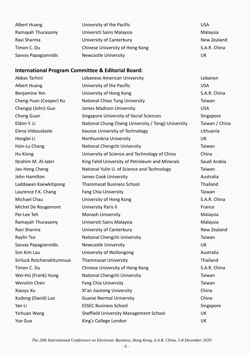| Albert Huang         | University of the Pacific       | <b>USA</b>   |
|----------------------|---------------------------------|--------------|
| Ramayah Thurasamy    | Universiti Sains Malaysia       | Malaysia     |
| Ravi Sharma          | University of Canterbury        | New Zealand  |
| Timon C. Du          | Chinese University of Hong Kong | S.A.R. China |
| Savvas Papagiannidis | <b>Newcastle University</b>     | UK           |

### **International Program Committee & Editorial Board:**

Abbas Tarhini Lebanese American University Lebanon Albert Huang **University of the Pacific USA** Benjamine Yen **University of Hong Kong** S.A.R. China Cheng-Yuan (Cooper) Ku National Chiao Tung University Taiwan Chengqi (John) Guo James Madison University USA Chong Guan Singapore University of Social Sciences Singapore Eldon Y. Li National Chung Cheng University / Tongji University Taiwan / China Elena Vitkauskaite Kaunas University of Technology Lithuania Honglei Li Northumbria University UK Hsin-Lu Chang National Chengchi University National Chengchi University National Chengchi University Hu Xiong University of Science and Technology of China China Ibrahim M. Al-Jabri King Fahd University of Petroleum and Minerals Saudi Arabia Jao-Hong Cheng National Yulin U. of Science and Technology Taiwan John Hamilton **James Cook University** Australia Australia Laddawan Kaewkitipong Thammasat Business School Thailand Laurence F.K. Chang Fang Chia University Taiwan Taiwan Michael Chau **University of Hong Kong S.A.R. China** Michel De Rougemont University Paris II France Pei-Lee Teh Monash University Monash University Malaysia Ramayah Thurasamy Universiti Sains Malaysia Malaysia Ravi Sharma **New Zealand** University of Canterbury New Zealand Raylin Tso **National Chengchi University National Chengchi University National Structure Individual** Savvas Papagiannidis and Newcastle University and the UK UK Sim Kim Lau **University of Wollongong Australia** Siriluck Rotchanakitumnuai Thammasat University Thailand Thailand Timon C. Du Chinese University of Hong Kong S.A.R. China Wei-Hsi (Frank) Hung National Chengchi University Nei-Hsi (Frank) Taiwan Wenshin Chen Fang Chia University Taiwan Xiaoyu Xu **Xi'an Jiaotong University** China Xudong (David) Luo Guanxi Normal University China Yan Li **ESSEC Business School** Singapore Yichuan Wang Sheffield University Management School UK Yue Guo Charles College London Charles College London Charles College London Charles Charles Charles Charles C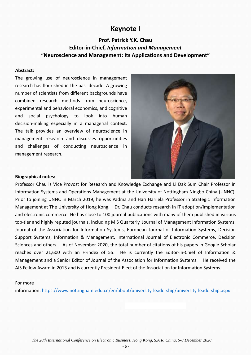### **Keynote I**

### **Prof. Patrick Y.K. Chau Editor-in-Chief,** *Information and Management* **"Neuroscience and Management: Its Applications and Development"**

#### **Abstract:**

The growing use of neuroscience in management research has flourished in the past decade. A growing number of scientists from different backgrounds have combined research methods from neuroscience, experimental and behavioral economics, and cognitive and social psychology to look into human decision-making especially in a managerial context. The talk provides an overview of neuroscience in management research and discusses opportunities and challenges of conducting neuroscience in management research.



#### **Biographical notes:**

Professor Chau is Vice Provost for Research and Knowledge Exchange and Li Dak Sum Chair Professor in Information Systems and Operations Management at the University of Nottingham Ningbo China (UNNC). Prior to joining UNNC in March 2019, he was Padma and Hari Harilela Professor in Strategic Information Management at The University of Hong Kong. Dr. Chau conducts research in IT adoption/implementation and electronic commerce. He has close to 100 journal publications with many of them published in various top-tier and highly reputed journals, including MIS Quarterly, Journal of Management Information Systems, Journal of the Association for Information Systems, European Journal of Information Systems, Decision Support Systems, Information & Management, International Journal of Electronic Commerce, Decision Sciences and others. As of November 2020, the total number of citations of his papers in Google Scholar reaches over 21,600 with an H-index of 55. He is currently the Editor-in-Chief of Information & Management and a Senior Editor of Journal of the Association for Information Systems. He received the AIS Fellow Award in 2013 and is currently President-Elect of the Association for Information Systems.

#### For more

information: <https://www.nottingham.edu.cn/en/about/university-leadership/university-leadership.aspx>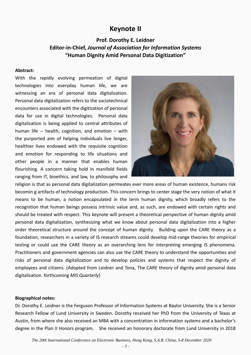### **Keynote II**

### **Prof. Dorothy E. Leidner Editor-in-Chief,** *Journal of Association for Information Systems* **"Human Dignity Amid Personal Data Digitization"**

#### **Abstract:**

With the rapidly evolving permeation of digital technologies into everyday human life, we are witnessing an era of personal data digitalization. Personal data digitalization refers to the sociotechnical encounters associated with the digitization of personal data for use in digital technologies. Personal data digitalization is being applied to central attributes of human life -- health, cognition, and emotion – with the purported aim of helping individuals live longer, healthier lives endowed with the requisite cognition and emotion for responding to life situations and other people in a manner that enables human flourishing. A concern taking hold in manifold fields ranging from IT, bioethics, and law, to philosophy and



religion is that as personal data digitalization permeates ever more areas of human existence, humans risk becomin g artifacts of technology production. This concern brings to center stage the very notion of what it means to be human, a notion encapsulated in the term human dignity, which broadly refers to the recognition that human beings possess intrinsic value and, as such, are endowed with certain rights and should be treated with respect. This keynote will present a theoretical perspective of human dignity amid personal data digitalization, synthesizing what we know about personal data digitalization into a higher order theoretical structure around the concept of human dignity. Building upon the CARE theory as a foundation, researchers in a variety of IS research streams could develop mid-range theories for empirical testing or could use the CARE theory as an overarching lens for interpreting emerging IS phenomena. Practitioners and government agencies can also use the CARE theory to understand the opportunities and risks of personal data digitalization and to develop policies and systems that respect the dignity of employees and citizens. (Adopted from Leidner and Tona, The CARE theory of dignity amid personal data digitalization. forthcoming *MIS Quarterly*)

#### **Biographical notes:**

Dr. Dorothy E. Leidner is the Ferguson Professor of Information Systems at Baylor University. She is a Senior Research Fellow of Lund University in Sweden. Dorothy received her PhD from the University of Texas at Austin, from where she also received an MBA with a concentration in information systems and a bachelor's degree in the Plan II Honors program. She received an honorary doctorate from Lund University in 2018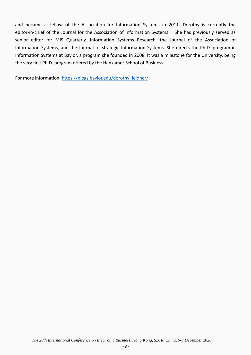and became a Fellow of the Association for Information Systems in 2011. Dorothy is currently the editor-in-chief of the Journal for the Association of Information Systems. She has previously served as senior editor for MIS Quarterly, Information Systems Research, the Journal of the Association of Information Systems, and the Journal of Strategic Information Systems. She directs the Ph.D. program in Information Systems at Baylor, a program she founded in 2008. It was a milestone for the University, being the very first Ph.D. program offered by the Hankamer School of Business.

For more information: [https://blogs.baylor.edu/dorothy\\_leidner/](https://blogs.baylor.edu/dorothy_leidner/)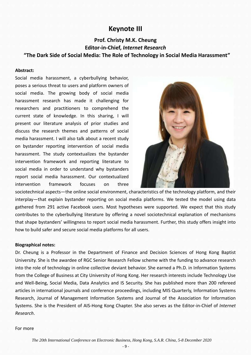### **Keynote III**

### **Prof. Christy M.K. Cheung Editor-in-Chief,** *Internet Research* **"The Dark Side of Social Media: The Role of Technology in Social Media Harassment"**

#### **Abstract:**

Social media harassment, a cyberbullying behavior, poses a serious threat to users and platform owners of social media. The growing body of social media harassment research has made it challenging for researchers and practitioners to comprehend the current state of knowledge. In this sharing, I will present our literature analysis of prior studies and discuss the research themes and patterns of social media harassment. I will also talk about a recent study on bystander reporting intervention of social media harassment. The study contextualizes the bystander intervention framework and reporting literature to social media in order to understand why bystanders report social media harassment. Our contextualized intervention framework focuses on three



sociotechnical aspects—the online social environment, characteristics of the technology platform, and their interplay—that explain bystander reporting on social media platforms. We tested the model using data gathered from 291 active Facebook users. Most hypotheses were supported. We expect that this study contributes to the cyberbullying literature by offering a novel sociotechnical explanation of mechanisms that shape bystanders' willingness to report social media harassment. Further, this study offers insight into how to build safer and secure social media platforms for all users.

#### **Biographical notes:**

Dr. Cheung is a Professor in the Department of Finance and Decision Sciences of Hong Kong Baptist University. She is the awardee of RGC Senior Research Fellow scheme with the funding to advance research into the role of technology in online collective deviant behavior. She earned a Ph.D. in Information Systems from the College of Business at City University of Hong Kong. Her research interests include Technology Use and Well-Being, Social Media, Data Analytics and IS Security. She has published more than 200 refereed articles in international journals and conference proceedings, including MIS Quarterly, Information Systems Research, Journal of Management Information Systems and Journal of the Association for Information Systems. She is the President of AIS-Hong Kong Chapter. She also serves as the Editor-in-Chief of *Internet Research*.

#### For more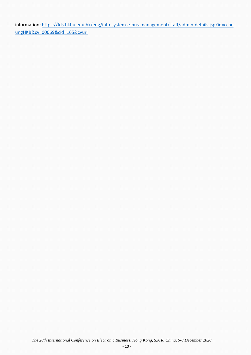information: [https://fds.hkbu.edu.hk/eng/info-system-e-bus-management/staff/admin-details.jsp?id=cche](https://fds.hkbu.edu.hk/eng/info-system-e-bus-management/staff/admin-details.jsp?id=ccheungHKB&cv=00069&cid=165&cvurl) [ungHKB&cv=00069&cid=165&cvurl](https://fds.hkbu.edu.hk/eng/info-system-e-bus-management/staff/admin-details.jsp?id=ccheungHKB&cv=00069&cid=165&cvurl)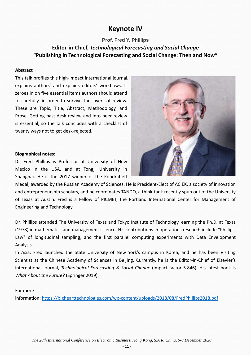### **Keynote IV**

### **Prof. Fred Y. Phillips**

### **Editor-in-Chief,** *Technological Forecasting and Social Change* **"Publishing in Technological Forecasting and Social Change: Then and Now"**

#### **Abstract**:

This talk profiles this high-impact international journal, explains authors' and explains editors' workflows. It zeroes in on five essential items authors should attend to carefully, in order to survive the layers of review. These are Topic, Title, Abstract, Methodology, and Prose. Getting past desk review and into peer review is essential, so the talk concludes with a checklist of twenty ways not to get desk-rejected.

#### **Biographical notes:**

Dr. Fred Phillips is Professor at University of New Mexico in the USA, and at Tongji University in Shanghai. He is the 2017 winner of the Kondratieff

Medal, awarded by the Russian Academy of Sciences. He is President-Elect of ACIEK, a society of innovation and entrepreneurship scholars, and he coordinates TANDO, a think-tank recently spun out of the University of Texas at Austin. Fred is a Fellow of PICMET, the Portland International Center for Management of Engineering and Technology.

Dr. Phillips attended The University of Texas and Tokyo Institute of Technology, earning the Ph.D. at Texas (1978) in mathematics and management science. His contributions in operations research include "Phillips' Law" of longitudinal sampling, and the first parallel computing experiments with Data Envelopment Analysis.

In Asia, Fred launched the State University of New York's campus in Korea, and he has been Visiting Scientist at the Chinese Academy of Sciences in Beijing. Currently, he is the Editor-in-Chief of Elsevier's international journal, *Technological Forecasting & Social Change* (impact factor 5.846). His latest book is *What About the Future?* (Springer 2019).

#### For more

information: <https://bighearttechnologies.com/wp-content/uploads/2018/08/FredPhillips2018.pdf>

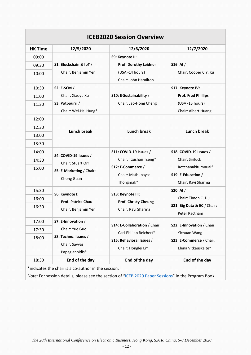| <b>HK Time</b> | 12/5/2020                                  | 12/6/2020                     | 12/7/2020                   |
|----------------|--------------------------------------------|-------------------------------|-----------------------------|
| 09:00          |                                            | S9: Keynote II:               |                             |
| 09:30          | S1: Blockchain & IoT /                     | Prof. Dorothy Leidner         | $S16:$ Al $/$               |
| 10:00          | Chair: Benjamin Yen                        | (USA -14 hours)               | Chair: Cooper C.Y. Ku       |
|                |                                            | Chair: John Hamilton          |                             |
| 10:30          | S2: E-SCM /                                |                               | S17: Keynote IV:            |
| 11:00          | Chair: Xiaoyu Xu                           | S10: E-Sustainability /       | <b>Prof. Fred Phillips</b>  |
| 11:30          | S3: Potpourri /                            | Chair: Jao-Hong Cheng         | (USA -15 hours)             |
|                | Chair: Wei-Hsi Hung*                       |                               | Chair: Albert Huang         |
| 12:00          |                                            |                               |                             |
| 12:30          | <b>Lunch break</b>                         |                               | <b>Lunch break</b>          |
| 13:00          |                                            | <b>Lunch break</b>            |                             |
| 13:30          |                                            |                               |                             |
| 14:00          | S4: COVID-19 Issues /<br>Chair: Stuart Orr | S11: COVID-19 Issues /        | S18: COVID-19 Issues /      |
| 14:30          |                                            | Chair: Tzushan Tseng*         | Chair: Siriluck             |
| 15:00          | S5: E-Marketing / Chair:                   | S12: E-Commerce /             | Rotchanakitumnuai*          |
|                | Chong Guan                                 | Chair: Mathupayas             | S19: E-Education /          |
|                |                                            | Thongmak*                     | Chair: Ravi Sharma          |
| 15:30          | S6: Keynote I:                             | S13: Keynote III:             | S20: AI /                   |
| 16:00          | <b>Prof. Patrick Chau</b>                  | <b>Prof. Christy Cheung</b>   | Chair: Timon C. Du          |
| 16:30          | Chair: Benjamin Yen                        | Chair: Ravi Sharma            | S21: Big Data & EC / Chair: |
|                |                                            |                               | Peter Ractham               |
| 17:00          | S7: E-Innovation /                         | S14: E-Collaboration / Chair: | S22: E-Innovation / Chair:  |
| 17:30          | Chair: Yue Guo                             | Carl-Philipp Beichert*        | Yichuan Wang                |
| 18:00          | S8: Techno. Issues /                       | S15: Behavioral Issues /      | S23: E-Commerce / Chair:    |
|                | Chair: Savvas                              | Chair: Honglei Li*            | Elena Vitkauskaitė*         |
|                | Papagiannidis*                             |                               |                             |
| 18:30          | End of the day                             | End of the day                | End of the day              |

*Note*: For session details, please see the section of "[ICEB 2020 Paper Sessions](http://iceb2020.johogo.com/res/ICEB2020-ProgramBook.pdf)" in the Program Book.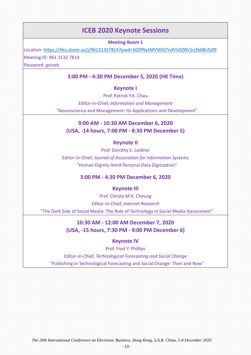### **ICEB 2020 Keynote Sessions**

**Meeting Room 1**

Location:<https://hku.zoom.us/j/96131327814?pwd=S0ZPNytMVWlGTndVU0ZBV1o3b08rZz09> Meeting ID: 961 3132 7814

Password: goiceb

### **3:00 PM - 4:30 PM December 5, 2020 (HK Time)**

### **Keynote I**

Prof. Patrick Y.K. Chau Editor-in-Chief, *Information and Management* "Neuroscience and Management: Its Applications and Development"

### **9:00 AM - 10:30 AM December 6, 2020 (USA, -14 hours, 7:00 PM - 8:30 PM December 5)**

### **Keynote II**

Prof. Dorothy E. Leidner Editor-in-Chief, *Journal of Association for Information Systems* "Human Dignity Amid Personal Data Digitization"

#### **3:00 PM - 4:30 PM December 6, 2020**

#### **Keynote III**

Prof. Christy M.K. Cheung Editor-in-Chief, *Internet Research* "The Dark Side of Social Media: The Role of Technology in Social Media Harassment"

### **10:30 AM - 12:00 AM December 7, 2020 (USA, -15 hours, 7:30 PM - 9:00 PM December 6)**

### **Keynote IV**

Prof. Fred Y. Phillips

Editor-in-Chief, *Technological Forecasting and Social Change* "Publishing in Technological Forecasting and Social Change: Then and Now"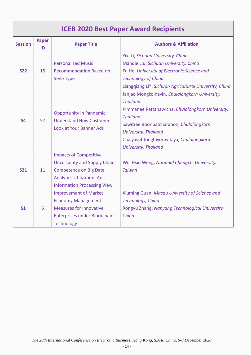### **ICEB 2020 Best Paper Award Recipients**

| <b>Session</b>               | Paper<br>ID | <b>Paper Title</b>                                                                                                                                                                                                                                                             | <b>Authors &amp; Affiliation</b>                                                                                                                                                                                                                                                               |  |  |  |  |
|------------------------------|-------------|--------------------------------------------------------------------------------------------------------------------------------------------------------------------------------------------------------------------------------------------------------------------------------|------------------------------------------------------------------------------------------------------------------------------------------------------------------------------------------------------------------------------------------------------------------------------------------------|--|--|--|--|
| <b>S22</b>                   | 15          | <b>Personalized Music</b><br><b>Recommendation Based on</b><br><b>Style Type</b>                                                                                                                                                                                               | Yixi Li, Sichuan University, China<br>Mandie Liu, Sichuan University, China<br>Fu He, University of Electronic Science and<br><b>Technology of China</b><br>Liangqiang Li*, Sichuan Agricultural University, China                                                                             |  |  |  |  |
| <b>S4</b>                    | 57          | <b>Opportunity in Pandemic:</b><br><b>Understand How Customers</b><br>Look at Your Banner Ads                                                                                                                                                                                  | Janjao Mongkolnavin, Chulalongkorn University,<br><b>Thailand</b><br>Pimmanee Rattanawicha, Chulalongkorn University,<br><b>Thailand</b><br>Sawitree Boonpatcharanon, Chulalongkorn<br><b>University, Thailand</b><br>Chaiyasut Jongtavornvitaya, Chulalongkorn<br><b>University, Thailand</b> |  |  |  |  |
| <b>S21</b><br>S <sub>1</sub> | 11<br>6     | <b>Impacts of Competitive</b><br><b>Uncertainty and Supply Chain</b><br><b>Competence on Big Data</b><br><b>Analytics Utilization: An</b><br><b>Information Processing View</b><br><b>Improvement of Market</b><br><b>Economy Management</b><br><b>Measures for Innovative</b> | Wei Hsiu Weng, National Chengchi University,<br><b>Taiwan</b><br>Xiuming Guan, Macau University of Science and<br>Technology, China<br>Rongyu Zhang, Nanyang Technological University,                                                                                                         |  |  |  |  |
|                              |             | Enterprises under Blockchain<br><b>Technology</b>                                                                                                                                                                                                                              | China                                                                                                                                                                                                                                                                                          |  |  |  |  |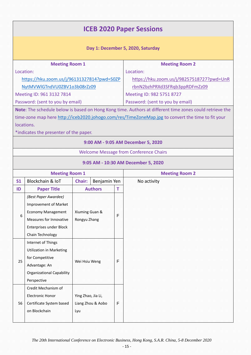### **ICEB 2020 Paper Sessions Day 1: December 5, 2020, Saturday Meeting Room 1** Location: [https://hku.zoom.us/j/96131327814?pwd=S0ZP](https://hku.zoom.us/j/96131327814?pwd=S0ZPNytMVWlGTndVU0ZBV1o3b08rZz09) [NytMVWlGTndVU0ZBV1o3b08rZz09](https://hku.zoom.us/j/96131327814?pwd=S0ZPNytMVWlGTndVU0ZBV1o3b08rZz09) Meeting ID: 961 3132 7814 Password: (sent to you by email) **Meeting Room 2** Location: [https://hku.zoom.us/j/98257518727?pwd=UnR](https://hku.zoom.us/j/98257518727?pwd=UnRrbnN2bzhPRXd3SFRqb3ppRDFmZz09) [rbnN2bzhPRXd3SFRqb3ppRDFmZz09](https://hku.zoom.us/j/98257518727?pwd=UnRrbnN2bzhPRXd3SFRqb3ppRDFmZz09) Meeting ID: 982 5751 8727 Password: (sent to you by email) **Note**: The schedule below is based on Hong Kong time. Authors at different time zones could retrieve the time-zone map here<http://iceb2020.johogo.com/res/TimeZoneMap.jpg> to convert the time to fit your locations. \*indicates the presenter of the paper. **9:00 AM - 9:05 AM December 5, 2020** Welcome Message from Conference Chairs **9:05 AM - 10:30 AM December 5, 2020 Meeting Room 1 Meeting Room 2 S1** | Blockchain & IoT | **Chair:** | Benjamin Yen | No activity **ID Paper Title Authors T** 6 *(Best Paper Awardee)*  Improvement of Market Economy Management Measures for Innovative Enterprises under Block Chain Technology Xiuming Guan & Rongyu Zhang F 25 Internet of Things Utilization in Marketing for Competitive Advantage: An Organizational Capability Perspective Wei Hsiu Weng F 56 Credit Mechanism of Electronic Honor Certificate System based on Blockchain Ying Zhao, Jia Li, Liang Zhou & Aobo Lyu F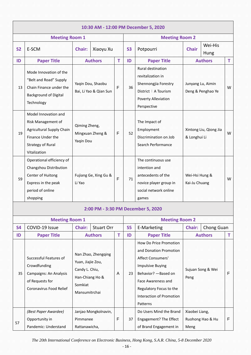|                       |                                                                                                                                                 |                                                                                                           |                      |             |           | 10:30 AM - 12:00 PM December 5, 2020                                                                                                                                                                              |                                 |                                                                                                                                    |                   |                   |   |
|-----------------------|-------------------------------------------------------------------------------------------------------------------------------------------------|-----------------------------------------------------------------------------------------------------------|----------------------|-------------|-----------|-------------------------------------------------------------------------------------------------------------------------------------------------------------------------------------------------------------------|---------------------------------|------------------------------------------------------------------------------------------------------------------------------------|-------------------|-------------------|---|
| <b>Meeting Room 1</b> |                                                                                                                                                 |                                                                                                           |                      |             |           | <b>Meeting Room 2</b>                                                                                                                                                                                             |                                 |                                                                                                                                    |                   |                   |   |
| <b>S2</b>             | E-SCM                                                                                                                                           | Xiaoyu Xu<br><b>Chair:</b>                                                                                |                      |             | <b>S3</b> | Potpourri                                                                                                                                                                                                         | Wei-His<br><b>Chair</b><br>Hung |                                                                                                                                    |                   |                   |   |
| ID                    | <b>Paper Title</b>                                                                                                                              |                                                                                                           | <b>Authors</b>       | T           | ID        | <b>Paper Title</b>                                                                                                                                                                                                |                                 | <b>Authors</b>                                                                                                                     | T                 |                   |   |
| 13                    | Mode Innovation of the<br>"Belt and Road" Supply<br>Chain Finance under the<br><b>Background of Digital</b><br>Technology                       | Yaqin Dou, Shaobu<br>Bai, Li Yao & Qian Sun                                                               |                      |             |           | F                                                                                                                                                                                                                 | 36                              | Rural destination<br>revitalization in<br>Shennongjia Forestry<br>District: A Tourism<br><b>Poverty Alleviation</b><br>Perspective | Junyang Lu, Aimin | Deng & Penghao Ye | W |
| 19                    | Model Innovation and<br>Risk Management of<br><b>Agricultural Supply Chain</b><br>Finance Under the<br><b>Strategy of Rural</b><br>Vitalization | Qiming Zheng,<br>Mingxuan Zheng &<br>Yaqin Dou                                                            |                      | $\mathsf F$ | 52        | The Impact of<br>Employment<br>Discrimination on Job<br>Search Performance                                                                                                                                        | & Longhui Li                    | Xintong Liu, Qiong Jia                                                                                                             | W                 |                   |   |
| 59                    | Operational efficiency of<br>Changzhou Distribution<br>Center of Huitong<br>Express in the peak<br>period of online<br>shopping                 | Fujiang Ge, Xing Gu &<br>Li Yao                                                                           |                      | $\mathsf F$ | 71        | The continuous use<br>intention and<br>antecedents of the<br>novice player group in<br>social network online<br>games                                                                                             | Wei-Hsi Hung &<br>Kai-Ju Chuang |                                                                                                                                    | W                 |                   |   |
|                       |                                                                                                                                                 |                                                                                                           |                      |             |           | 2:00 PM - 3:30 PM December 5, 2020                                                                                                                                                                                |                                 |                                                                                                                                    |                   |                   |   |
|                       | <b>Meeting Room 1</b>                                                                                                                           |                                                                                                           |                      |             |           | <b>Meeting Room 2</b>                                                                                                                                                                                             |                                 |                                                                                                                                    |                   |                   |   |
| <b>S4</b>             | COVID-19 Issue                                                                                                                                  | Chair:                                                                                                    | <b>Stuart Orr</b>    |             | <b>S5</b> | E-Marketing                                                                                                                                                                                                       | Chair:                          | Chong Guan                                                                                                                         |                   |                   |   |
| ID                    | <b>Paper Title</b>                                                                                                                              |                                                                                                           | <b>Authors</b>       | т           | ID        | <b>Paper Title</b>                                                                                                                                                                                                |                                 | <b>Authors</b>                                                                                                                     | T                 |                   |   |
| 35                    | Successful Features of<br>Crowdfunding<br>Campaigns: An Analysis<br>of Requests for<br>Coronavirus Food Relief                                  | Nan Zhao, Zhengqing<br>Yuan, Jiajie Zou,<br>Candy L. Chiu,<br>Han-Chiang Ho &<br>Somkiat<br>Mansumitrchai |                      | A           | 23        | How Do Price Promotion<br>and Donation Promotion<br>Affect Consumers'<br><b>Impulsive Buying</b><br>Behavior? - Based on<br>Face Awareness and<br>Regulatory Focus to the<br>Interaction of Promotion<br>Patterns | Peng                            | Sujuan Song & Wei                                                                                                                  | F                 |                   |   |
| 57                    | (Best Paper Awardee)<br>Opportunity in<br>Pandemic: Understand                                                                                  | Pimmanee<br>Rattanawicha,                                                                                 | Janjao Mongkolnavin, | $\mathsf F$ | 37        | Do Users Mind the Brand<br>Engagement? The Effect<br>of Brand Engagement in                                                                                                                                       | Xiaobei Liang,<br>Meng          | Ruohong Hao & Hu                                                                                                                   | F                 |                   |   |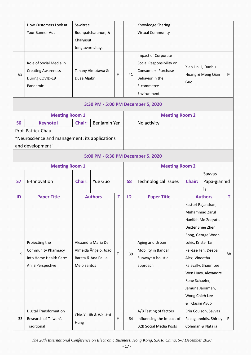|                       | How Customers Look at<br>Your Banner Ads                                                                                 | Sawitree<br>Chaiyasut<br>Jongtavornvitaya                                       | Boonpatcharanon, &    |    |                                                                                                                               | Knowledge Sharing<br>Virtual Community                                               |                                                                                                               |                                                                                                                                                                           |   |
|-----------------------|--------------------------------------------------------------------------------------------------------------------------|---------------------------------------------------------------------------------|-----------------------|----|-------------------------------------------------------------------------------------------------------------------------------|--------------------------------------------------------------------------------------|---------------------------------------------------------------------------------------------------------------|---------------------------------------------------------------------------------------------------------------------------------------------------------------------------|---|
| 65                    | Role of Social Media in<br>Tahany Almotawa &<br><b>Creating Awareness</b><br>During COVID-19<br>Duaa Aljabri<br>Pandemic |                                                                                 | F                     | 41 | Impact of Corporate<br>Social Responsibility on<br><b>Consumers' Purchase</b><br>Behavior in the<br>E-commerce<br>Environment | Xiao Lin Li, Dunhu<br>Guo                                                            | Huang & Meng Qian                                                                                             | F                                                                                                                                                                         |   |
|                       |                                                                                                                          |                                                                                 |                       |    |                                                                                                                               | 3:30 PM - 5:00 PM December 5, 2020                                                   |                                                                                                               |                                                                                                                                                                           |   |
|                       | <b>Meeting Room 1</b>                                                                                                    |                                                                                 |                       |    |                                                                                                                               | <b>Meeting Room 2</b>                                                                |                                                                                                               |                                                                                                                                                                           |   |
| <b>S6</b>             | <b>Keynote I</b><br>Benjamin Yen<br><b>Chair:</b>                                                                        |                                                                                 |                       |    |                                                                                                                               | No activity                                                                          |                                                                                                               |                                                                                                                                                                           |   |
|                       | "Neuroscience and management: its applications<br>and development"                                                       |                                                                                 |                       |    |                                                                                                                               | 5:00 PM - 6:30 PM December 5, 2020                                                   |                                                                                                               |                                                                                                                                                                           |   |
| <b>Meeting Room 1</b> |                                                                                                                          |                                                                                 |                       |    |                                                                                                                               | <b>Meeting Room 2</b>                                                                |                                                                                                               |                                                                                                                                                                           |   |
| <b>S7</b>             | E-Innovation                                                                                                             | <b>Chair:</b>                                                                   | Yue Guo               |    | <b>S8</b>                                                                                                                     | <b>Technological Issues</b>                                                          | Chair:                                                                                                        | Savvas<br>Papa-giannid<br>is                                                                                                                                              |   |
| ID                    | <b>Paper Title</b>                                                                                                       |                                                                                 | <b>Authors</b>        | T  | ID                                                                                                                            | <b>Paper Title</b>                                                                   |                                                                                                               | <b>Authors</b>                                                                                                                                                            | T |
| 9                     | Projecting the<br><b>Community Pharmacy</b><br>into Home Health Care:<br>An IS Perspective                               | Alexandra Maria De<br>Almeida Ângelo, João<br>Barata & Ana Paula<br>Melo Santos |                       | F  | 39                                                                                                                            | Aging and Urban<br>Mobility in Bandar<br>Sunway: A holistic<br>approach              | Dexter Shee Zhen<br>Lukic, Kristel Tan,<br>Alex, Vineetha<br>Rene Schaefer,<br>Wong Chieh Lee<br>& Qasim Ayub | Kasturi Rajandran,<br>Muhammad Zarul<br>Hanifah Md Zoqratt,<br>Rong, George Woon<br>Pei-Lee Teh, Deepa<br>Kalavally, Shaun Lee<br>Wen Huey, Alexandre<br>Jamuna Jairaman, | W |
| 33                    | <b>Digital Transformation</b><br>Research of Taiwan's<br>Traditional                                                     | Hung                                                                            | Chia-Yu Jih & Wei-Hsi |    | 64                                                                                                                            | A/B Testing of factors<br>influencing the Impact of<br><b>B2B Social Media Posts</b> |                                                                                                               | Erin Coulson, Savvas<br>Papagiannidis, Shirley<br>Coleman & Natalia                                                                                                       | F |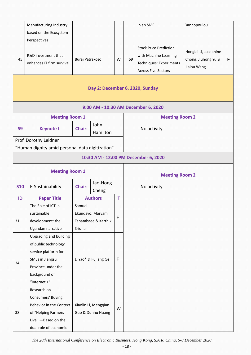|                                                 | Manufacturing Industry<br>based on the Ecosystem<br>Perspectives                                                                                    |                                   |                                                |                       |    | in an SME                                                                                                       | Yannopoulou                                                 |   |
|-------------------------------------------------|-----------------------------------------------------------------------------------------------------------------------------------------------------|-----------------------------------|------------------------------------------------|-----------------------|----|-----------------------------------------------------------------------------------------------------------------|-------------------------------------------------------------|---|
| 45                                              | R&D investment that<br>enhances IT firm survival                                                                                                    | Buraj Patrakosol                  |                                                | W                     | 69 | <b>Stock Price Prediction</b><br>with Machine Learning<br>Techniques: Experiments<br><b>Across Five Sectors</b> | Honglei Li, Josephine<br>Chong, Jiuhong Yu &<br>Jialou Wang | F |
|                                                 |                                                                                                                                                     |                                   |                                                |                       |    | Day 2: December 6, 2020, Sunday                                                                                 |                                                             |   |
|                                                 |                                                                                                                                                     |                                   |                                                |                       |    | 9:00 AM - 10:30 AM December 6, 2020                                                                             |                                                             |   |
|                                                 | <b>Meeting Room 1</b>                                                                                                                               |                                   |                                                |                       |    | <b>Meeting Room 2</b>                                                                                           |                                                             |   |
| <b>S9</b>                                       | <b>Keynote II</b>                                                                                                                                   | John<br><b>Chair:</b><br>Hamilton |                                                |                       |    | No activity                                                                                                     |                                                             |   |
| Prof. Dorothy Leidner                           |                                                                                                                                                     |                                   |                                                |                       |    |                                                                                                                 |                                                             |   |
| "Human dignity amid personal data digitization" |                                                                                                                                                     |                                   |                                                |                       |    |                                                                                                                 |                                                             |   |
|                                                 |                                                                                                                                                     |                                   |                                                |                       |    | 10:30 AM - 12:00 PM December 6, 2020                                                                            |                                                             |   |
| <b>Meeting Room 1</b>                           |                                                                                                                                                     |                                   |                                                | <b>Meeting Room 2</b> |    |                                                                                                                 |                                                             |   |
| <b>S10</b>                                      | E-Sustainability                                                                                                                                    | Chair:                            | Jao-Hong<br>Cheng                              |                       |    | No activity                                                                                                     |                                                             |   |
| ID                                              | <b>Paper Title</b>                                                                                                                                  |                                   | <b>Authors</b>                                 | т                     |    |                                                                                                                 |                                                             |   |
| 31                                              | The Role of ICT in<br>sustainable<br>development: the<br>Ugandan narrative                                                                          | Samuel<br>Sridhar                 | Ekundayo, Maryam<br>Tabatabaee & Karthik       |                       |    |                                                                                                                 |                                                             |   |
| 34                                              | Upgrading and building<br>of public technology<br>service platform for<br>SMEs in Jiangsu<br>Province under the<br>background of<br>"Internet $+$ " | Li Yao* & Fujiang Ge              |                                                | F                     |    |                                                                                                                 |                                                             |   |
| 38                                              | Research on<br><b>Consumers' Buying</b><br>Behavior in the Context<br>of "Helping Farmers<br>Live" - Based on the<br>dual role of economic          |                                   | Xiaolin Li, Mengqian<br>W<br>Guo & Dunhu Huang |                       |    |                                                                                                                 |                                                             |   |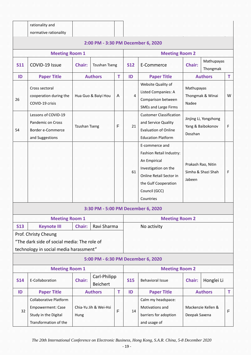rationality and

|            | normative rationality                                                                                         |                      |                                    |   |                       |                                                                                                                                                                     |                                                       |                    |    |
|------------|---------------------------------------------------------------------------------------------------------------|----------------------|------------------------------------|---|-----------------------|---------------------------------------------------------------------------------------------------------------------------------------------------------------------|-------------------------------------------------------|--------------------|----|
|            |                                                                                                               |                      | 2:00 PM - 3:30 PM December 6, 2020 |   |                       |                                                                                                                                                                     |                                                       |                    |    |
|            | <b>Meeting Room 1</b>                                                                                         |                      |                                    |   | <b>Meeting Room 2</b> |                                                                                                                                                                     |                                                       |                    |    |
| <b>S11</b> | COVID-19 Issue                                                                                                | <b>Chair:</b>        | <b>Tzushan Tseng</b>               |   | <b>S12</b>            | E-Commerce                                                                                                                                                          | Mathupayas<br><b>Chair:</b><br>Thongmak               |                    |    |
| ID         | <b>Paper Title</b>                                                                                            |                      | <b>Authors</b>                     | т | ID                    | <b>Paper Title</b>                                                                                                                                                  |                                                       | <b>Authors</b>     | т  |
| 26         | Cross sectoral<br>cooperation during the<br>COVID-19 crisis                                                   |                      | Hua Guo & Baiyi Hou                | A | $\overline{4}$        | Website Quality of<br>Listed Companies: A<br>Comparison between<br><b>SMEs and Large Firms</b>                                                                      | Mathupayas<br>Thongmak & Winai<br>Nadee               |                    | W  |
| 54         | Lessons of COVID-19<br>Pandemic on Cross<br>Border e-Commerce<br>and Suggestions                              | <b>Tzushan Tseng</b> |                                    | F | 21                    | <b>Customer Classification</b><br>and Service Quality<br><b>Evaluation of Online</b><br><b>Education Platform</b>                                                   | Jinjing Li, Yongzhong<br>Yang & Baibokonov<br>Doszhan |                    | F  |
|            |                                                                                                               |                      |                                    |   | 61                    | E-commerce and<br>Fashion Retail Industry:<br>An Empirical<br>Investigation on the<br>Online Retail Sector in<br>the Gulf Cooperation<br>Council (GCC)<br>Countries | Prakash Rao, Nitin<br>Simha & Shazi Shah<br>Jabeen    |                    | F. |
|            |                                                                                                               |                      | 3:30 PM - 5:00 PM December 6, 2020 |   |                       |                                                                                                                                                                     |                                                       |                    |    |
|            | <b>Meeting Room 1</b>                                                                                         |                      |                                    |   |                       | <b>Meeting Room 2</b>                                                                                                                                               |                                                       |                    |    |
| <b>S13</b> | <b>Keynote III</b>                                                                                            | Chair:               | Ravi Sharma                        |   |                       | No activity                                                                                                                                                         |                                                       |                    |    |
|            | Prof. Christy Cheung<br>"The dark side of social media: The role of<br>technology in social media harassment" |                      |                                    |   |                       |                                                                                                                                                                     |                                                       |                    |    |
|            |                                                                                                               |                      | 5:00 PM - 6:30 PM December 6, 2020 |   |                       |                                                                                                                                                                     |                                                       |                    |    |
|            | <b>Meeting Room 1</b>                                                                                         |                      |                                    |   |                       | <b>Meeting Room 2</b>                                                                                                                                               |                                                       |                    |    |
| <b>S14</b> | E-Collaboration                                                                                               | <b>Chair:</b>        | Carl-Philipp<br><b>Beichert</b>    |   | <b>S15</b>            | <b>Behavioral Issue</b>                                                                                                                                             | Chair:                                                | Honglei Li         |    |
| ID         | <b>Paper Title</b>                                                                                            |                      | <b>Authors</b>                     | T | ID                    | <b>Paper Title</b>                                                                                                                                                  |                                                       | <b>Authors</b>     | T. |
| 32         | <b>Collaborative Platform</b><br><b>Empowerment: Case</b><br>Study in the Digital<br>Transformation of the    | Hung                 | Chia-Yu Jih & Wei-Hsi              | F | 14                    | Calm my headspace:<br>Motivations and<br>barriers for adoption<br>and usage of                                                                                      | Deepak Saxena                                         | Mackenzie Kellen & | F  |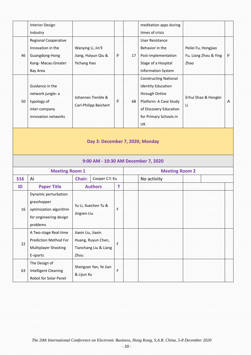|            | <b>Interior Design</b>       |                    |                       |   |                       | meditation apps during              |                       |    |  |
|------------|------------------------------|--------------------|-----------------------|---|-----------------------|-------------------------------------|-----------------------|----|--|
|            | Industry                     |                    |                       |   |                       | times of crisis                     |                       |    |  |
|            | <b>Regional Cooperative</b>  |                    |                       |   |                       | <b>User Resistance</b>              |                       |    |  |
|            | Innovation in the            | Wanying Li, Jin'E  |                       |   |                       | Behavior in the                     | Peilei Fu, Hongjiao   |    |  |
| 46         | Guangdong-Hong               |                    | Jiang, Haiyun Qiu &   | F | 17                    | Post-implementation                 | Fu, Liang Zhou & Ying | F. |  |
|            | Kong- Macau Greater          | Yichang Hao        |                       |   |                       | Stage of a Hospital                 | Zhao                  |    |  |
|            | <b>Bay Area</b>              |                    |                       |   |                       | <b>Information System</b>           |                       |    |  |
|            |                              |                    |                       |   |                       | <b>Constructing National</b>        |                       |    |  |
|            | Guidance in the              |                    |                       |   |                       | <b>Identity Education</b>           |                       |    |  |
|            | network jungle: a            |                    | Johannes Trenkle &    |   |                       | through Online                      | Erhui Shao & Honglei  |    |  |
| 50         | typology of<br>inter-company |                    |                       | F | 68                    | Platform: A Case Study              |                       | A  |  |
|            |                              |                    | Carl-Philipp Beichert |   |                       | of Discovery Education              | Li                    |    |  |
|            | innovation networks          |                    |                       |   |                       | for Primary Schools in              |                       |    |  |
|            |                              |                    |                       |   |                       | UK                                  |                       |    |  |
|            |                              |                    |                       |   |                       | 9:00 AM - 10:30 AM December 7, 2020 |                       |    |  |
|            | <b>Meeting Room 1</b>        |                    |                       |   | <b>Meeting Room 2</b> |                                     |                       |    |  |
| <b>S16</b> | Al                           | Chair:             | Cooper C.Y. Ku        |   |                       | No activity                         |                       |    |  |
| ID         | <b>Paper Title</b>           |                    | <b>Authors</b>        | T |                       |                                     |                       |    |  |
|            | Dynamic perturbation         |                    |                       |   |                       |                                     |                       |    |  |
|            | grasshopper                  |                    | Yu Li, Xuechen Tu &   |   |                       |                                     |                       |    |  |
| 16         | optimization algorithm       |                    |                       | F |                       |                                     |                       |    |  |
|            | for engineering design       | Jingsen Liu        |                       |   |                       |                                     |                       |    |  |
|            | problems                     |                    |                       |   |                       |                                     |                       |    |  |
|            | A Two-stage Real-time        | Jiaxin Liu, Jiaxin |                       |   |                       |                                     |                       |    |  |
| 22         | <b>Prediction Method For</b> |                    | Huang, Ruyun Chen,    | F |                       |                                     |                       |    |  |
|            | Multiplayer Shooting         |                    | Tianchang Liu & Liang |   |                       |                                     |                       |    |  |
|            | E-sports                     | Zhou               |                       |   |                       |                                     |                       |    |  |
|            |                              |                    |                       |   |                       |                                     |                       |    |  |
|            | The Design of                |                    |                       |   |                       |                                     |                       |    |  |
| 63         | <b>Intelligent Cleaning</b>  | & Lijun Xu         | Shengzan Yan, Ye Jian | F |                       |                                     |                       |    |  |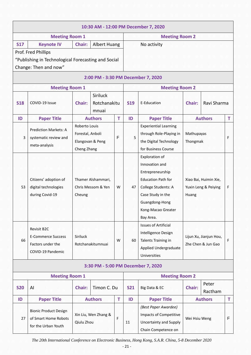| 10:30 AM - 12:00 PM December 7, 2020                |                                                                                           |                                    |                       |            |                         |                                    |                                                        |                |             |  |  |  |  |
|-----------------------------------------------------|-------------------------------------------------------------------------------------------|------------------------------------|-----------------------|------------|-------------------------|------------------------------------|--------------------------------------------------------|----------------|-------------|--|--|--|--|
| <b>Meeting Room 1</b>                               |                                                                                           |                                    |                       |            | <b>Meeting Room 2</b>   |                                    |                                                        |                |             |  |  |  |  |
| <b>S17</b>                                          | <b>Keynote IV</b>                                                                         | Albert Huang<br><b>Chair:</b>      |                       |            | No activity             |                                    |                                                        |                |             |  |  |  |  |
|                                                     | Prof. Fred Phillips                                                                       |                                    |                       |            |                         |                                    |                                                        |                |             |  |  |  |  |
| "Publishing in Technological Forecasting and Social |                                                                                           |                                    |                       |            |                         |                                    |                                                        |                |             |  |  |  |  |
| Change: Then and now"                               |                                                                                           |                                    |                       |            |                         |                                    |                                                        |                |             |  |  |  |  |
|                                                     | 2:00 PM - 3:30 PM December 7, 2020                                                        |                                    |                       |            |                         |                                    |                                                        |                |             |  |  |  |  |
| <b>Meeting Room 1</b>                               |                                                                                           |                                    |                       |            |                         | <b>Meeting Room 2</b>              |                                                        |                |             |  |  |  |  |
|                                                     |                                                                                           |                                    |                       |            |                         |                                    |                                                        |                |             |  |  |  |  |
| <b>S18</b>                                          | COVID-19 Issue<br>Chair:                                                                  |                                    | Rotchanakitu<br>mnuai |            | <b>S19</b>              | E-Education                        | Ravi Sharma<br><b>Chair:</b>                           |                |             |  |  |  |  |
| ID                                                  | <b>Paper Title</b>                                                                        |                                    | <b>Authors</b>        |            | ID                      | <b>Paper Title</b>                 | <b>Authors</b>                                         |                | T           |  |  |  |  |
|                                                     |                                                                                           | Roberto Louis                      |                       |            |                         | <b>Experiential Learning</b>       |                                                        |                |             |  |  |  |  |
| 3                                                   | <b>Prediction Markets: A</b>                                                              | Forestal, Anboli                   | F                     | 5          | through Role-Playing in | Mathupayas<br>Thongmak             |                                                        | F.             |             |  |  |  |  |
|                                                     | systematic review and                                                                     | Elangovan & Peng                   |                       |            | the Digital Technology  |                                    |                                                        |                |             |  |  |  |  |
|                                                     | meta-analysis                                                                             | Cheng Zhang                        |                       |            | for Business Course     |                                    |                                                        |                |             |  |  |  |  |
|                                                     |                                                                                           |                                    |                       |            |                         | Exploration of                     |                                                        |                |             |  |  |  |  |
|                                                     |                                                                                           |                                    |                       |            |                         | Innovation and                     | Xiao Bai, Huimin Xie,<br>Yuxin Leng & Peiying<br>Huang |                |             |  |  |  |  |
|                                                     |                                                                                           |                                    |                       |            |                         | Entrepreneurship                   |                                                        |                |             |  |  |  |  |
|                                                     | Thamer Alshammari,<br>Citizens' adoption of<br>Chris Messom & Yen<br>digital technologies |                                    |                       |            |                         | <b>Education Path for</b>          |                                                        |                |             |  |  |  |  |
| 53                                                  |                                                                                           |                                    |                       | W          | 47                      | College Students: A                |                                                        |                | $\mathsf F$ |  |  |  |  |
|                                                     | during Covid-19                                                                           | Cheung                             | Case Study in the     |            |                         |                                    |                                                        |                |             |  |  |  |  |
|                                                     |                                                                                           |                                    |                       |            |                         | Guangdong-Hong                     |                                                        |                |             |  |  |  |  |
|                                                     |                                                                                           |                                    |                       |            |                         | Kong-Macao Greater                 |                                                        |                |             |  |  |  |  |
|                                                     |                                                                                           |                                    |                       |            | Bay Area.               |                                    |                                                        |                |             |  |  |  |  |
|                                                     |                                                                                           |                                    |                       |            |                         | <b>Issues of Artificial</b>        |                                                        |                |             |  |  |  |  |
|                                                     | Revisit B2C                                                                               |                                    |                       | W          | 60                      | Intelligence Design                | Lijun Xu, Jianjun Hou,<br>Zhe Chen & Jun Gao           |                |             |  |  |  |  |
| 66                                                  | <b>E-Commerce Success</b>                                                                 | Siriluck                           | Talents Training in   |            |                         | $\mathsf F$                        |                                                        |                |             |  |  |  |  |
|                                                     | Factors under the                                                                         | Rotchanakitumnuai                  | Applied Undergraduate |            |                         |                                    |                                                        |                |             |  |  |  |  |
|                                                     | COVID-19 Pandemic                                                                         |                                    | Universities          |            |                         |                                    |                                                        |                |             |  |  |  |  |
|                                                     |                                                                                           |                                    |                       |            |                         | 3:30 PM - 5:00 PM December 7, 2020 |                                                        |                |             |  |  |  |  |
| <b>Meeting Room 1</b>                               |                                                                                           |                                    |                       |            | <b>Meeting Room 2</b>   |                                    |                                                        |                |             |  |  |  |  |
| <b>S20</b>                                          | Timon C. Du<br>AI<br>Chair:                                                               |                                    |                       | <b>S21</b> | Big Data & EC           | Peter<br><b>Chair:</b>             |                                                        |                |             |  |  |  |  |
|                                                     |                                                                                           |                                    |                       |            |                         |                                    |                                                        | Ractham        |             |  |  |  |  |
| ID                                                  | <b>Paper Title</b>                                                                        | <b>Authors</b>                     |                       | T          | ID                      | <b>Paper Title</b>                 |                                                        | <b>Authors</b> | T.          |  |  |  |  |
|                                                     | <b>Bionic Product Design</b>                                                              | Xin Liu, Wen Zhang &<br>Qiulu Zhou |                       | F          |                         | (Best Paper Awardee)               | Wei Hsiu Weng                                          |                |             |  |  |  |  |
| 27                                                  | of Smart Home Robots                                                                      |                                    |                       |            |                         | <b>Impacts of Competitive</b>      |                                                        |                | F           |  |  |  |  |
|                                                     | for the Urban Youth                                                                       |                                    |                       |            | 11                      | <b>Uncertainty and Supply</b>      |                                                        |                |             |  |  |  |  |
|                                                     |                                                                                           |                                    |                       |            |                         | Chain Competence on                |                                                        |                |             |  |  |  |  |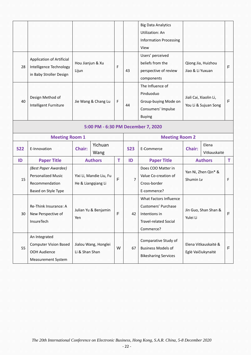|            |                                                                                            |                                               |  |   |                | <b>Big Data Analytics</b><br><b>Utilization: An</b><br><b>Information Processing</b><br>View                |                                                |  |             |
|------------|--------------------------------------------------------------------------------------------|-----------------------------------------------|--|---|----------------|-------------------------------------------------------------------------------------------------------------|------------------------------------------------|--|-------------|
| 28         | <b>Application of Artificial</b><br>Intelligence Technology<br>in Baby Stroller Design     | Hou Jianjun & Xu<br>Lijun                     |  | F | 43             | Users' perceived<br>beliefs from the<br>perspective of review<br>components                                 | Qiong Jia, Huizhou<br>Jiao & Li Yuxuan         |  | F           |
| 40         | Design Method of<br>Intelligent Furniture                                                  | Jie Wang & Chang Lu                           |  | F | 44             | The Influence of<br>Pinduoduo<br>Group-buying Mode on<br>Consumers' Impulse<br><b>Buying</b>                | Jiali Cai, Xiaolin Li,<br>You Li & Sujuan Song |  | F           |
|            |                                                                                            |                                               |  |   |                | 5:00 PM - 6:30 PM December 7, 2020                                                                          |                                                |  |             |
|            | <b>Meeting Room 1</b>                                                                      |                                               |  |   |                | <b>Meeting Room 2</b>                                                                                       |                                                |  |             |
| <b>S22</b> | E-Innovation                                                                               | Yichuan<br><b>Chair:</b><br>Wang              |  |   | <b>S23</b>     | E-Commerce                                                                                                  | Elena<br><b>Chair:</b><br>Vitkauskaitė         |  |             |
| ID         | <b>Paper Title</b>                                                                         | <b>Authors</b>                                |  | T | ID             | <b>Paper Title</b>                                                                                          | <b>Authors</b>                                 |  | T           |
| 15         | (Best Paper Awardee)<br><b>Personalized Music</b><br>Recommendation<br>Based on Style Type | Yixi Li, Mandie Liu, Fu<br>He & Liangqiang Li |  | F | $\overline{7}$ | Does COO Matter in<br>Value Co-creation of<br>Cross-border<br>E-commerce?                                   | Yan Ni, Zhen Qin* &<br>Shumin Lv               |  | F           |
| 30         | Re-Think Insurance: A<br>New Perspective of<br>InsureTech                                  | Julian Yu & Benjamin<br>Yen                   |  | F | 42             | What Factors Influence<br>Customers' Purchase<br>Intentions in<br><b>Travel-related Social</b><br>Commerce? | Jin Guo, Shan Shan &<br>Yulei Li               |  | $\mathsf F$ |
| 55         | An Integrated<br><b>Computer Vision Based</b><br>OOH Audience<br><b>Measurement System</b> | Jialou Wang, Honglei<br>Li & Shan Shan        |  | W | 67             | Comparative Study of<br><b>Business Models of</b><br><b>Bikesharing Services</b>                            | Elena Vitkauskaitė &<br>Eglė Vaičiukynaitė     |  | $\mathsf F$ |